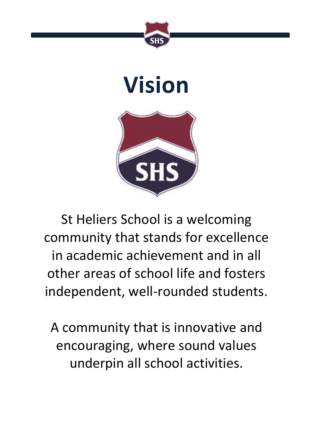

## **Vision**



St Heliers School is a welcoming community that stands for excellence in academic achievement and in all other areas of school life and fosters independent, well-rounded students.

A community that is innovative and encouraging, where sound values underpin all school activities.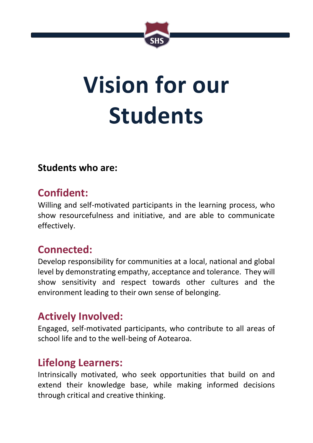

# **Vision for our Students**

#### **Students who are:**

### **Confident:**

Willing and self-motivated participants in the learning process, who show resourcefulness and initiative, and are able to communicate effectively.

## **Connected:**

Develop responsibility for communities at a local, national and global level by demonstrating empathy, acceptance and tolerance. They will show sensitivity and respect towards other cultures and the environment leading to their own sense of belonging.

## **Actively Involved:**

Engaged, self-motivated participants, who contribute to all areas of school life and to the well-being of Aotearoa.

## **Lifelong Learners:**

Intrinsically motivated, who seek opportunities that build on and extend their knowledge base, while making informed decisions through critical and creative thinking.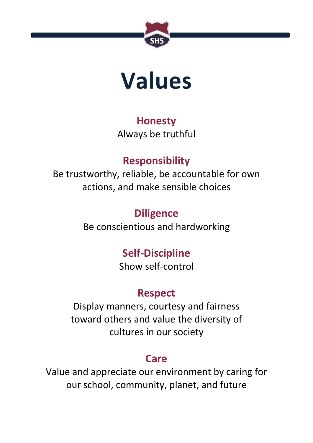

## **Values**

#### **Honesty**

Always be truthful

## **Responsibility**

Be trustworthy, reliable, be accountable for own actions, and make sensible choices

## **Diligence**

Be conscientious and hardworking

## **Self-Discipline**

Show self-control

## **Respect**

Display manners, courtesy and fairness toward others and value the diversity of cultures in our society

## **Care**

Value and appreciate our environment by caring for our school, community, planet, and future